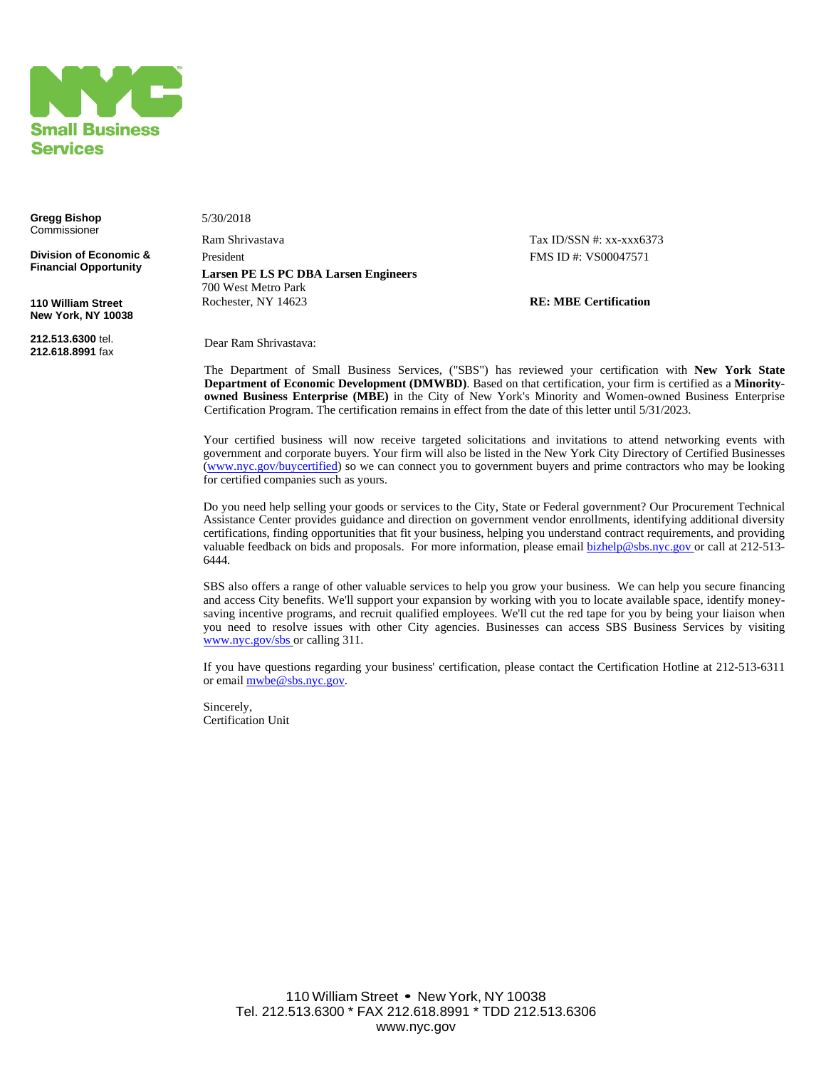

**Gregg Bishop** Commissioner

**Division of Economic & Financial Opportunity**

**110 William Street New York, NY 10038**

**212.513.6300** tel. **212.618.8991** fax 5/30/2018

Ram Shrivastava Tax ID/SSN #: xx-xxx6373 President FMS ID #: VS00047571 **Larsen PE LS PC DBA Larsen Engineers**  700 West Metro Park Rochester, NY 14623 **RE: MBE Certification**

Dear Ram Shrivastava:

The Department of Small Business Services, ("SBS") has reviewed your certification with **New York State Department of Economic Development (DMWBD)**. Based on that certification, your firm is certified as a **Minorityowned Business Enterprise (MBE)** in the City of New York's Minority and Women-owned Business Enterprise Certification Program. The certification remains in effect from the date of this letter until 5/31/2023.

Your certified business will now receive targeted solicitations and invitations to attend networking events with government and corporate buyers. Your firm will also be listed in the New York City Directory of Certified Businesses ([www.nyc.gov/buycertified](http://www.nyc.gov/buycertified)) so we can connect you to government buyers and prime contractors who may be looking for certified companies such as yours.

Do you need help selling your goods or services to the City, State or Federal government? Our Procurement Technical Assistance Center provides guidance and direction on government vendor enrollments, identifying additional diversity certifications, finding opportunities that fit your business, helping you understand contract requirements, and providing valuable feedback on bids and proposals. For more information, please email [bizhelp@sbs.nyc.gov o](mailto:bizhelp@sbs.nyc.gov)r call at 212-513-6444.

SBS also offers a range of other valuable services to help you grow your business. We can help you secure financing and access City benefits. We'll support your expansion by working with you to locate available space, identify moneysaving incentive programs, and recruit qualified employees. We'll cut the red tape for you by being your liaison when you need to resolve issues with other City agencies. Businesses can access SBS Business Services by visiting [www.nyc.gov/sbs o](http://www.nyc.gov/sbs)r calling 311.

If you have questions regarding your business' certification, please contact the Certification Hotline at 212-513-6311 or email mybe@sbs.nyc.gov.

Sincerely, Certification Unit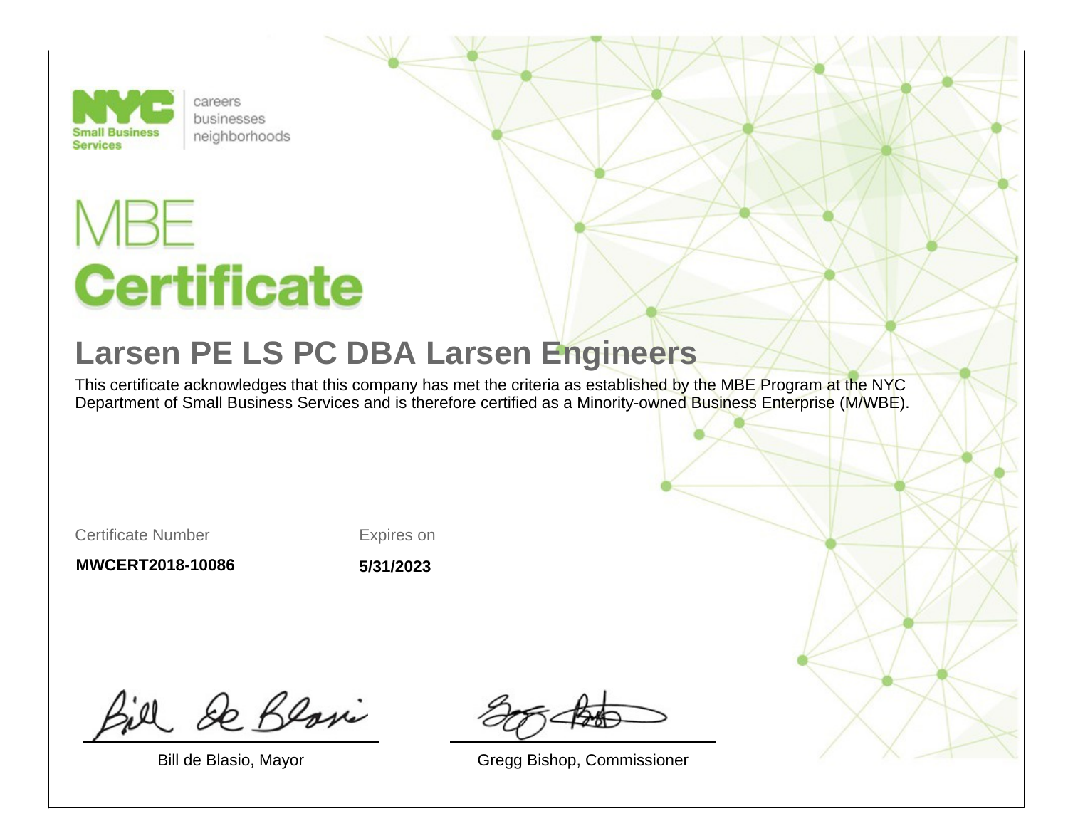

careers businesses neighborhoods

## **Certificate**

## **Larsen PE LS PC DBA Larsen Engineers**

This certificate acknowledges that this company has met the criteria as established by the MBE Program at the NYC Department of Small Business Services and is therefore certified as a Minority-owned Business Enterprise (M/WBE).

Certificate Number

Expires on

**MWCERT2018-10086**

**5/31/2023**

& Blosi

Bill de Blasio, Mayor Gregg Bishop, Commissioner